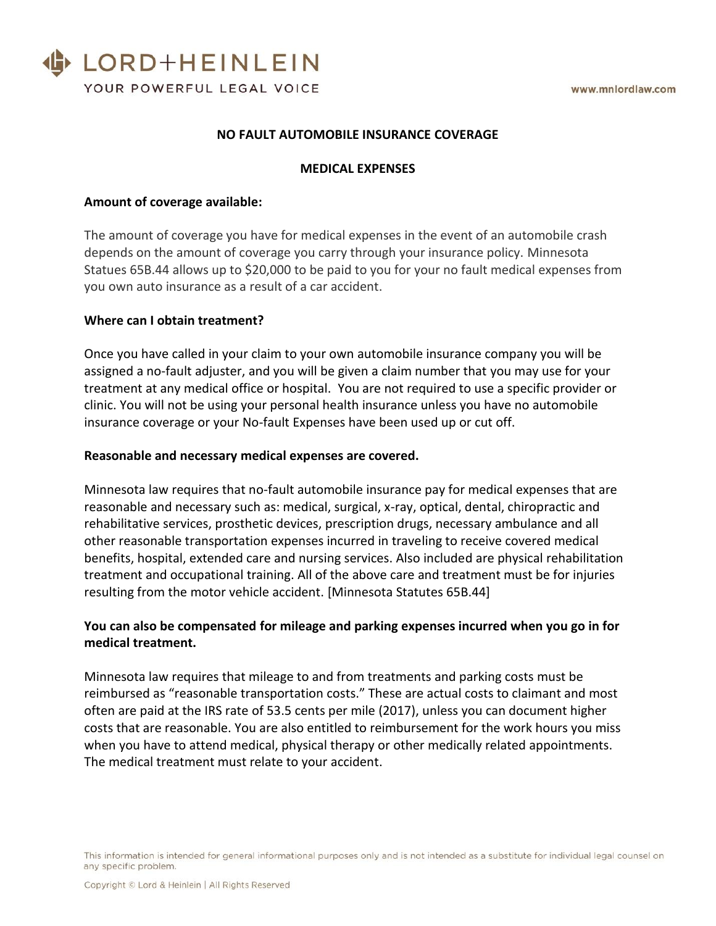

## **NO FAULT AUTOMOBILE INSURANCE COVERAGE**

### **MEDICAL EXPENSES**

### **Amount of coverage available:**

The amount of coverage you have for medical expenses in the event of an automobile crash depends on the amount of coverage you carry through your insurance policy. Minnesota Statues 65B.44 allows up to \$20,000 to be paid to you for your no fault medical expenses from you own auto insurance as a result of a car accident.

#### **Where can I obtain treatment?**

Once you have called in your claim to your own automobile insurance company you will be assigned a no-fault adjuster, and you will be given a claim number that you may use for your treatment at any medical office or hospital. You are not required to use a specific provider or clinic. You will not be using your personal health insurance unless you have no automobile insurance coverage or your No-fault Expenses have been used up or cut off.

#### **Reasonable and necessary medical expenses are covered.**

Minnesota law requires that no-fault automobile insurance pay for medical expenses that are reasonable and necessary such as: medical, surgical, x-ray, optical, dental, chiropractic and rehabilitative services, prosthetic devices, prescription drugs, necessary ambulance and all other reasonable transportation expenses incurred in traveling to receive covered medical benefits, hospital, extended care and nursing services. Also included are physical rehabilitation treatment and occupational training. All of the above care and treatment must be for injuries resulting from the motor vehicle accident. [Minnesota Statutes 65B.44]

# **You can also be compensated for mileage and parking expenses incurred when you go in for medical treatment.**

Minnesota law requires that mileage to and from treatments and parking costs must be reimbursed as "reasonable transportation costs." These are actual costs to claimant and most often are paid at the IRS rate of 53.5 cents per mile (2017), unless you can document higher costs that are reasonable. You are also entitled to reimbursement for the work hours you miss when you have to attend medical, physical therapy or other medically related appointments. The medical treatment must relate to your accident.